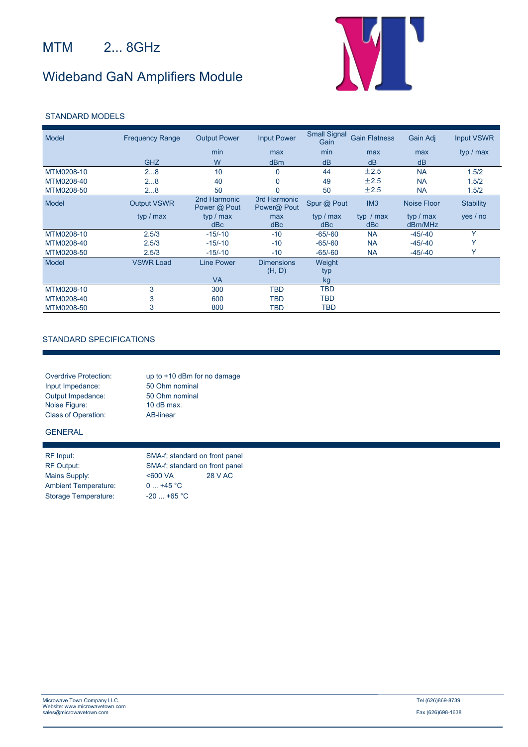## MTM 2... 8GHz

# Wideband GaN Amplifiers Module



#### STANDARD MODELS

| Model      | <b>Frequency Range</b> | <b>Output Power</b>          | <b>Input Power</b>          | <b>Small Signal</b><br>Gain | <b>Gain Flatness</b> | Gain Adj    | <b>Input VSWR</b> |
|------------|------------------------|------------------------------|-----------------------------|-----------------------------|----------------------|-------------|-------------------|
|            |                        | min                          | max                         | min                         | max                  | max         | typ / max         |
|            | <b>GHZ</b>             | W                            | dBm                         | dB                          | dB                   | dB          |                   |
| MTM0208-10 | 28                     | 10                           | 0                           | 44                          | ±2.5                 | <b>NA</b>   | 1.5/2             |
| MTM0208-40 | 28                     | 40                           | 0                           | 49                          | ±2.5                 | <b>NA</b>   | 1.5/2             |
| MTM0208-50 | 28                     | 50                           |                             | 50                          | ±2.5                 | <b>NA</b>   | 1.5/2             |
| Model      | <b>Output VSWR</b>     | 2nd Harmonic<br>Power @ Pout | 3rd Harmonic<br>Power@ Pout | Spur @ Pout                 | IM3                  | Noise Floor | <b>Stability</b>  |
|            | typ / max              | typ / max                    | max                         | typ / max                   | typ $/max$           | typ / max   | yes / no          |
|            |                        | dBc                          | dBc                         | dBc                         | dBc                  | dBm/MHz     |                   |
| MTM0208-10 | 2.5/3                  | $-15/-10$                    | $-10$                       | $-65/-60$                   | <b>NA</b>            | $-45/ -40$  | Y                 |
| MTM0208-40 | 2.5/3                  | $-15/-10$                    | $-10$                       | $-65/-60$                   | <b>NA</b>            | $-45/ -40$  |                   |
| MTM0208-50 | 2.5/3                  | $-15/-10$                    | $-10$                       | $-65/-60$                   | <b>NA</b>            | $-45/ -40$  | $\checkmark$      |
| Model      | <b>VSWR Load</b>       | <b>Line Power</b>            | <b>Dimensions</b><br>(H, D) | Weight<br>typ               |                      |             |                   |
|            |                        | <b>VA</b>                    |                             | kg                          |                      |             |                   |
| MTM0208-10 | 3                      | 300                          | <b>TBD</b>                  | <b>TBD</b>                  |                      |             |                   |
| MTM0208-40 | 3                      | 600                          | <b>TBD</b>                  | TBD                         |                      |             |                   |
| MTM0208-50 | 3                      | 800                          | TBD                         | TBD                         |                      |             |                   |

#### STANDARD SPECIFICATIONS

| <b>Overdrive Protection:</b> | up to $+10$ dBm for no damage |
|------------------------------|-------------------------------|
| Input Impedance:             | 50 Ohm nominal                |
| Output Impedance:            | 50 Ohm nominal                |
| Noise Figure:                | 10 $dB$ max.                  |
| <b>Class of Operation:</b>   | AB-linear                     |

### GENERAL

| RF Input:                   |
|-----------------------------|
| <b>RF Output:</b>           |
| Mains Supply:               |
| <b>Ambient Temperature:</b> |
| Storage Temperature:        |

SMA-f; standard on front panel SMA-f; standard on front panel Mains Supply: <600 VA 28 V AC  $0... +45 °C$  $-20$  ... +65  $^{\circ}$ C